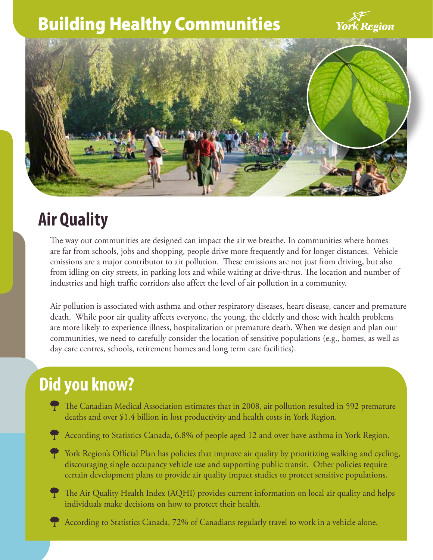## Building Healthy Communities





# **Air Quality**

The way our communities are designed can impact the air we breathe. In communities where homes are far from schools, jobs and shopping, people drive more frequently and for longer distances. Vehicle emissions are a major contributor to air pollution. These emissions are not just from driving, but also from idling on city streets, in parking lots and while waiting at drive-thrus. The location and number of industries and high traffic corridors also affect the level of air pollution in a community.

Air pollution is associated with asthma and other respiratory diseases, heart disease, cancer and premature death. While poor air quality affects everyone, the young, the elderly and those with health problems are more likely to experience illness, hospitalization or premature death. When we design and plan our communities, we need to carefully consider the location of sensitive populations (e.g., homes, as well as day care centres, schools, retirement homes and long term care facilities).

### **Did you know?**

- The Canadian Medical Association estimates that in 2008, air pollution resulted in 592 premature deaths and over \$1.4 billion in lost productivity and health costs in York Region.
- T According to Statistics Canada, 6.8% of people aged 12 and over have asthma in York Region.
- T York Region's Official Plan has policies that improve air quality by prioritizing walking and cycling, discouraging single occupancy vehicle use and supporting public transit. Other policies require certain development plans to provide air quality impact studies to protect sensitive populations.
- The Air Quality Health Index (AQHI) provides current information on local air quality and helps individuals make decisions on how to protect their health.
- l According to Statistics Canada, 72% of Canadians regularly travel to work in a vehicle alone.